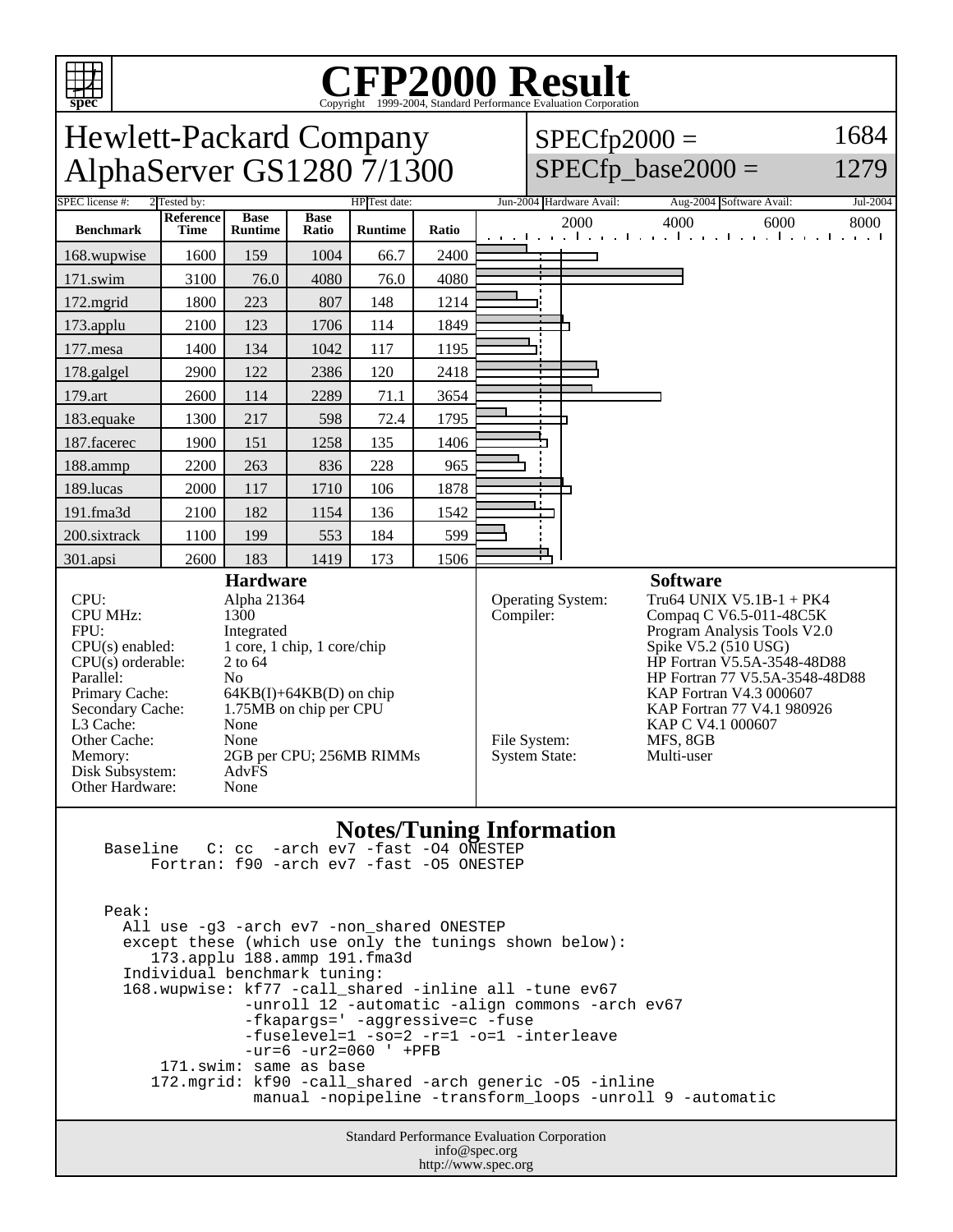

Peak:

 All use -g3 -arch ev7 -non\_shared ONESTEP except these (which use only the tunings shown below): 173.applu 188.ammp 191.fma3d Individual benchmark tuning: 168.wupwise: kf77 -call\_shared -inline all -tune ev67 -unroll 12 -automatic -align commons -arch ev67 -fkapargs=' -aggressive=c -fuse -fuselevel=1 -so=2 -r=1 -o=1 -interleave -ur=6 -ur2=060 ' +PFB 171.swim: same as base 172.mgrid: kf90 -call\_shared -arch generic -O5 -inline manual -nopipeline -transform\_loops -unroll 9 -automatic

> Standard Performance Evaluation Corporation info@spec.org http://www.spec.org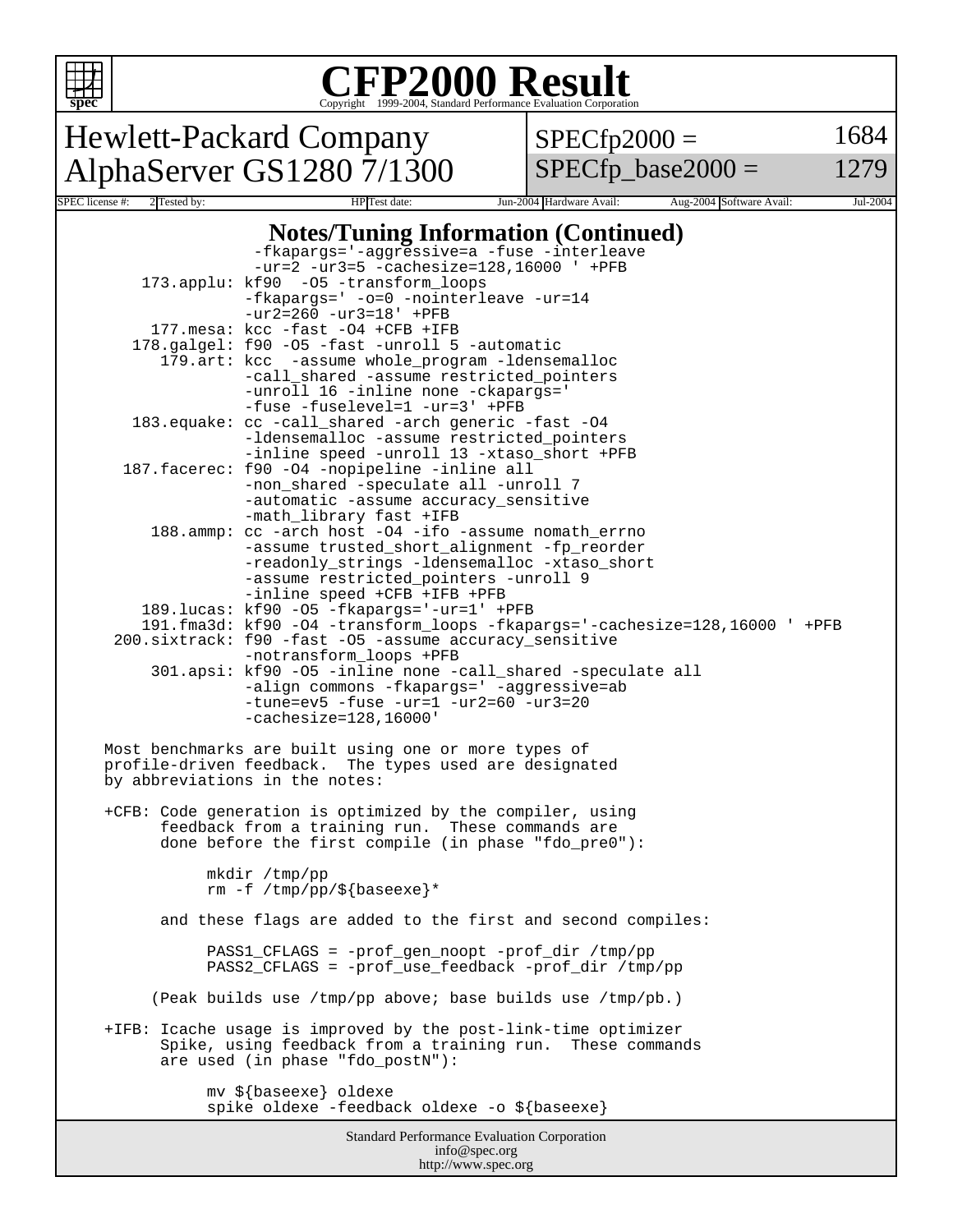

## Copyright ©1999-2004, Standard Performance Evaluation Corporation

Hewlett-Packard Company AlphaServer GS1280 7/1300  $SPECfp2000 =$ 

 $SPECfp\_base2000 =$ 

1684

1279

## **Notes/Tuning Information (Continued)**

SPEC license #: 2 Tested by: HP Test date: Jun-2004 Hardware Avail: Aug-2004 Software Avail: Jul-2004

|                                                           | -fkapargs='-aggressive=a -fuse -interleave<br>$-ur=2 -ur3=5 -cachesize=128,16000$ ' +PFB                |  |  |
|-----------------------------------------------------------|---------------------------------------------------------------------------------------------------------|--|--|
|                                                           | 173.applu: kf90 -05 -transform_loops                                                                    |  |  |
|                                                           | -fkapargs=' -o=0 -nointerleave -ur=14                                                                   |  |  |
|                                                           | $-ur2 = 260 -ur3 = 18' + PFB$                                                                           |  |  |
|                                                           | 177. mesa: kcc -fast -04 +CFB +IFB<br>178.galgel: f90 -05 -fast -unroll 5 -automatic                    |  |  |
|                                                           | 179.art: kcc -assume whole_program -ldensemalloc                                                        |  |  |
|                                                           | -call_shared -assume restricted_pointers                                                                |  |  |
|                                                           | -unroll 16 -inline none -ckapargs='                                                                     |  |  |
|                                                           | -fuse -fuselevel=1 -ur=3' +PFB                                                                          |  |  |
|                                                           | 183.equake: cc -call_shared -arch generic -fast -04                                                     |  |  |
|                                                           | -ldensemalloc -assume restricted_pointers                                                               |  |  |
|                                                           | -inline speed -unroll 13 -xtaso_short +PFB                                                              |  |  |
|                                                           | 187. facerec: f90 -04 -nopipeline -inline all                                                           |  |  |
|                                                           | -non_shared -speculate all -unroll 7                                                                    |  |  |
|                                                           | -automatic -assume accuracy_sensitive                                                                   |  |  |
|                                                           | -math_library fast +IFB                                                                                 |  |  |
|                                                           | 188.ammp: cc -arch host -04 -ifo -assume nomath_errno                                                   |  |  |
|                                                           | -assume trusted_short_alignment -fp_reorder                                                             |  |  |
|                                                           | -readonly_strings -ldensemalloc -xtaso_short<br>-assume restricted_pointers -unroll 9                   |  |  |
|                                                           | -inline speed +CFB +IFB +PFB                                                                            |  |  |
|                                                           | 189.lucas: kf90 -05 -fkapargs='-ur=1' +PFB                                                              |  |  |
|                                                           | 191.fma3d: kf90 -04 -transform_loops -fkapargs='-cachesize=128,16000 ' +PFB                             |  |  |
|                                                           | 200.sixtrack: f90 -fast -05 -assume accuracy_sensitive                                                  |  |  |
|                                                           | -notransform_loops +PFB                                                                                 |  |  |
|                                                           | 301.apsi: kf90 -05 -inline none -call_shared -speculate all                                             |  |  |
|                                                           | -align commons -fkapargs=' -aggressive=ab                                                               |  |  |
|                                                           | $-tune=ev5 - fuse -ur=1 -ur2=60 -ur3=20$                                                                |  |  |
|                                                           | $-cachesize=128,16000$                                                                                  |  |  |
|                                                           | Most benchmarks are built using one or more types of                                                    |  |  |
|                                                           | profile-driven feedback. The types used are designated                                                  |  |  |
|                                                           | by abbreviations in the notes:                                                                          |  |  |
|                                                           |                                                                                                         |  |  |
| +CFB: Code generation is optimized by the compiler, using |                                                                                                         |  |  |
| feedback from a training run. These commands are          |                                                                                                         |  |  |
|                                                           | done before the first compile (in phase "fdo_pre0"):                                                    |  |  |
| mkdir /tmp/pp                                             |                                                                                                         |  |  |
|                                                           | rm $-f$ /tmp/pp/\${baseexe}*                                                                            |  |  |
|                                                           |                                                                                                         |  |  |
|                                                           | and these flags are added to the first and second compiles:                                             |  |  |
|                                                           |                                                                                                         |  |  |
|                                                           | PASS1_CFLAGS = -prof_gen_noopt -prof_dir /tmp/pp<br>PASS2_CFLAGS = -prof_use_feedback -prof_dir /tmp/pp |  |  |
|                                                           |                                                                                                         |  |  |
|                                                           | (Peak builds use /tmp/pp above; base builds use /tmp/pb.)                                               |  |  |
|                                                           | +IFB: Icache usage is improved by the post-link-time optimizer                                          |  |  |
|                                                           | Spike, using feedback from a training run. These commands                                               |  |  |
|                                                           | are used (in phase "fdo_postN"):                                                                        |  |  |
|                                                           |                                                                                                         |  |  |
|                                                           | mv \${baseexe} oldexe<br>spike oldexe -feedback oldexe -o \${baseexe}                                   |  |  |
|                                                           |                                                                                                         |  |  |
|                                                           | <b>Standard Performance Evaluation Corporation</b>                                                      |  |  |

info@spec.org http://www.spec.org